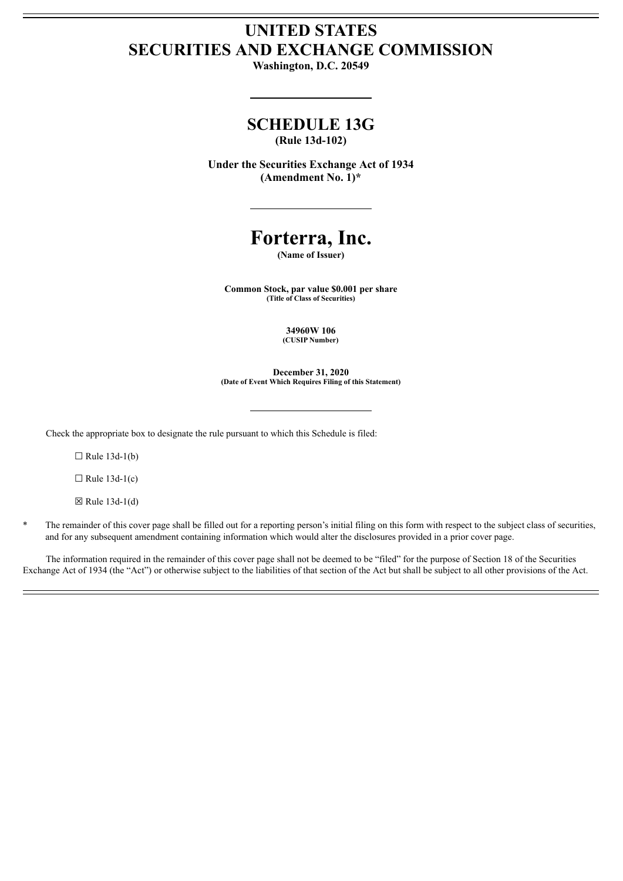### **UNITED STATES SECURITIES AND EXCHANGE COMMISSION**

**Washington, D.C. 20549**

## **SCHEDULE 13G**

**(Rule 13d-102)**

**Under the Securities Exchange Act of 1934 (Amendment No. 1)\***

# **Forterra, Inc.**

**(Name of Issuer)**

**Common Stock, par value \$0.001 per share (Title of Class of Securities)**

> **34960W 106 (CUSIP Number)**

**December 31, 2020 (Date of Event Which Requires Filing of this Statement)**

Check the appropriate box to designate the rule pursuant to which this Schedule is filed:

 $\Box$  Rule 13d-1(b)

 $\Box$  Rule 13d-1(c)

 $\boxtimes$  Rule 13d-1(d)

The remainder of this cover page shall be filled out for a reporting person's initial filing on this form with respect to the subject class of securities, and for any subsequent amendment containing information which would alter the disclosures provided in a prior cover page.

The information required in the remainder of this cover page shall not be deemed to be "filed" for the purpose of Section 18 of the Securities Exchange Act of 1934 (the "Act") or otherwise subject to the liabilities of that section of the Act but shall be subject to all other provisions of the Act.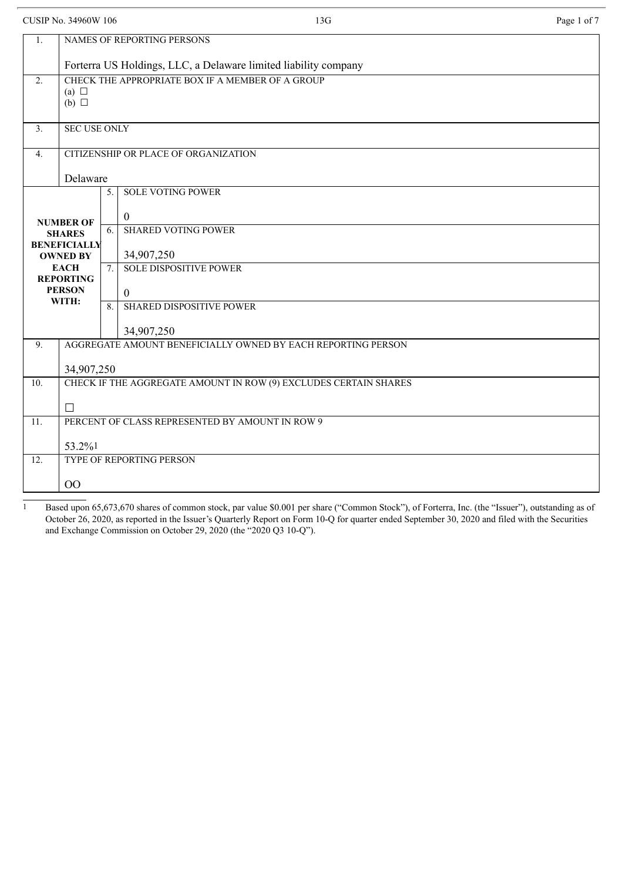CUSIP No. 34960W 106 Page 1 of 7

| 1.                                     | <b>NAMES OF REPORTING PERSONS</b>                                  |                                     |  |  |  |  |
|----------------------------------------|--------------------------------------------------------------------|-------------------------------------|--|--|--|--|
|                                        | Forterra US Holdings, LLC, a Delaware limited liability company    |                                     |  |  |  |  |
| 2.                                     | CHECK THE APPROPRIATE BOX IF A MEMBER OF A GROUP                   |                                     |  |  |  |  |
|                                        | (a) $\Box$<br>(b) $\Box$                                           |                                     |  |  |  |  |
| 3.                                     | <b>SEC USE ONLY</b>                                                |                                     |  |  |  |  |
| 4.                                     | CITIZENSHIP OR PLACE OF ORGANIZATION                               |                                     |  |  |  |  |
|                                        | Delaware                                                           |                                     |  |  |  |  |
|                                        | <b>SOLE VOTING POWER</b><br>5.                                     |                                     |  |  |  |  |
|                                        | <b>NUMBER OF</b>                                                   | $\theta$                            |  |  |  |  |
| <b>SHARES</b>                          |                                                                    | <b>SHARED VOTING POWER</b><br>6.    |  |  |  |  |
| <b>BENEFICIALLY</b><br><b>OWNED BY</b> |                                                                    | 34,907,250                          |  |  |  |  |
| <b>EACH</b><br><b>REPORTING</b>        |                                                                    | <b>SOLE DISPOSITIVE POWER</b><br>7. |  |  |  |  |
| <b>PERSON</b><br>WITH:                 |                                                                    | $\theta$                            |  |  |  |  |
| <b>SHARED DISPOSITIVE POWER</b><br>8.  |                                                                    |                                     |  |  |  |  |
|                                        |                                                                    | 34,907,250                          |  |  |  |  |
|                                        | AGGREGATE AMOUNT BENEFICIALLY OWNED BY EACH REPORTING PERSON<br>9. |                                     |  |  |  |  |
|                                        | 34,907,250                                                         |                                     |  |  |  |  |
| 10.                                    | CHECK IF THE AGGREGATE AMOUNT IN ROW (9) EXCLUDES CERTAIN SHARES   |                                     |  |  |  |  |
|                                        | $\Box$                                                             |                                     |  |  |  |  |
| 11.                                    | PERCENT OF CLASS REPRESENTED BY AMOUNT IN ROW 9                    |                                     |  |  |  |  |
|                                        | 53.2%1                                                             |                                     |  |  |  |  |
| 12.                                    | TYPE OF REPORTING PERSON                                           |                                     |  |  |  |  |
|                                        | 00                                                                 |                                     |  |  |  |  |

Based upon 65,673,670 shares of common stock, par value \$0.001 per share ("Common Stock"), of Forterra, Inc. (the "Issuer"), outstanding as of October 26, 2020, as reported in the Issuer's Quarterly Report on Form 10-Q for quarter ended September 30, 2020 and filed with the Securities and Exchange Commission on October 29, 2020 (the "2020 Q3 10-Q").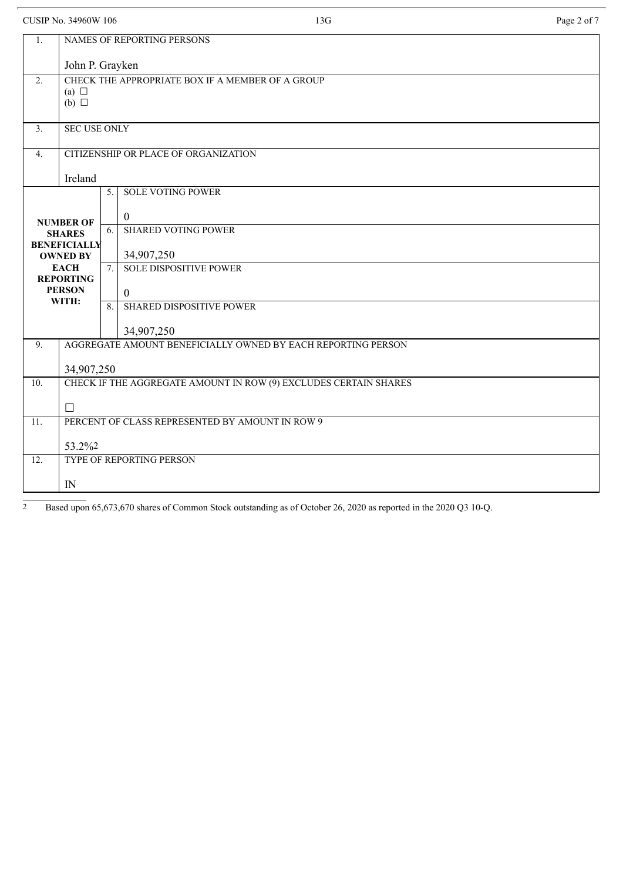| <b>CUSIP No. 34960W 106</b>                             |                               |                                                                  | 13G                                                          | Page 2 of 7 |  |  |
|---------------------------------------------------------|-------------------------------|------------------------------------------------------------------|--------------------------------------------------------------|-------------|--|--|
| 1.                                                      |                               |                                                                  | NAMES OF REPORTING PERSONS                                   |             |  |  |
|                                                         | John P. Grayken               |                                                                  |                                                              |             |  |  |
| 2.                                                      |                               | CHECK THE APPROPRIATE BOX IF A MEMBER OF A GROUP                 |                                                              |             |  |  |
|                                                         | (a) $\Box$<br>$(b)$ $\square$ |                                                                  |                                                              |             |  |  |
|                                                         |                               |                                                                  |                                                              |             |  |  |
| 3 <sub>1</sub>                                          |                               | <b>SEC USE ONLY</b>                                              |                                                              |             |  |  |
| $\overline{4}$ .                                        |                               | CITIZENSHIP OR PLACE OF ORGANIZATION                             |                                                              |             |  |  |
|                                                         | Ireland                       |                                                                  |                                                              |             |  |  |
|                                                         |                               | 5.                                                               | <b>SOLE VOTING POWER</b>                                     |             |  |  |
|                                                         |                               |                                                                  |                                                              |             |  |  |
|                                                         | <b>NUMBER OF</b>              | 6.                                                               | $\overline{0}$<br><b>SHARED VOTING POWER</b>                 |             |  |  |
| <b>SHARES</b><br><b>BENEFICIALLY</b><br><b>OWNED BY</b> |                               |                                                                  |                                                              |             |  |  |
|                                                         |                               |                                                                  | 34,907,250                                                   |             |  |  |
|                                                         | <b>EACH</b>                   | 7 <sub>1</sub>                                                   | <b>SOLE DISPOSITIVE POWER</b>                                |             |  |  |
|                                                         | <b>REPORTING</b>              |                                                                  |                                                              |             |  |  |
| <b>PERSON</b><br>WITH:                                  |                               |                                                                  | $\overline{0}$                                               |             |  |  |
|                                                         |                               | 8                                                                | <b>SHARED DISPOSITIVE POWER</b>                              |             |  |  |
|                                                         |                               |                                                                  | 34,907,250                                                   |             |  |  |
| 9.                                                      |                               |                                                                  | AGGREGATE AMOUNT BENEFICIALLY OWNED BY EACH REPORTING PERSON |             |  |  |
|                                                         |                               |                                                                  |                                                              |             |  |  |
|                                                         | 34,907,250                    |                                                                  |                                                              |             |  |  |
| 10.                                                     |                               | CHECK IF THE AGGREGATE AMOUNT IN ROW (9) EXCLUDES CERTAIN SHARES |                                                              |             |  |  |
|                                                         | П                             |                                                                  |                                                              |             |  |  |
| 11.                                                     |                               |                                                                  | PERCENT OF CLASS REPRESENTED BY AMOUNT IN ROW 9              |             |  |  |

| .<br>TERVENT OF CERTION RELATEDENTED BY THROUGH HARVEST 2 |          |                          |  |  |  |
|-----------------------------------------------------------|----------|--------------------------|--|--|--|
|                                                           |          | 53.2%2                   |  |  |  |
|                                                           | £<br>1/4 | TYPE OF REPORTING PERSON |  |  |  |
|                                                           |          | $\mathbb{N}$             |  |  |  |

<sup>2</sup> Based upon 65,673,670 shares of Common Stock outstanding as of October 26, 2020 as reported in the 2020 Q3 10-Q.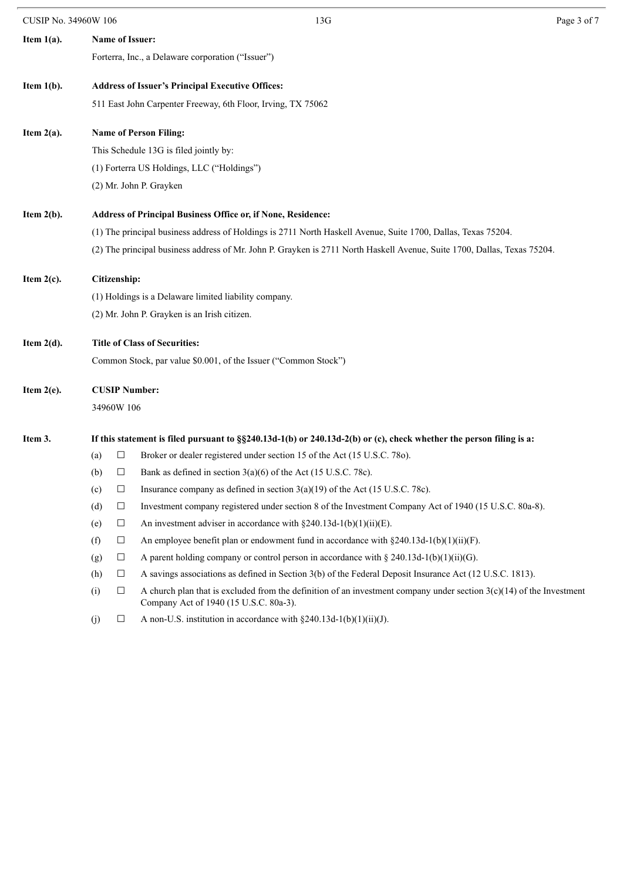| <b>CUSIP No. 34960W 106</b> |                                                                     |                                            | 13G                                                                                                                                                              | Page 3 of 7 |  |  |  |
|-----------------------------|---------------------------------------------------------------------|--------------------------------------------|------------------------------------------------------------------------------------------------------------------------------------------------------------------|-------------|--|--|--|
| Item $1(a)$ .               | Name of Issuer:                                                     |                                            |                                                                                                                                                                  |             |  |  |  |
|                             |                                                                     |                                            | Forterra, Inc., a Delaware corporation ("Issuer")                                                                                                                |             |  |  |  |
| Item $1(b)$ .               | <b>Address of Issuer's Principal Executive Offices:</b>             |                                            |                                                                                                                                                                  |             |  |  |  |
|                             |                                                                     |                                            | 511 East John Carpenter Freeway, 6th Floor, Irving, TX 75062                                                                                                     |             |  |  |  |
| Item $2(a)$ .               | <b>Name of Person Filing:</b>                                       |                                            |                                                                                                                                                                  |             |  |  |  |
|                             |                                                                     | This Schedule 13G is filed jointly by:     |                                                                                                                                                                  |             |  |  |  |
|                             |                                                                     | (1) Forterra US Holdings, LLC ("Holdings") |                                                                                                                                                                  |             |  |  |  |
|                             |                                                                     | (2) Mr. John P. Grayken                    |                                                                                                                                                                  |             |  |  |  |
| Item $2(b)$ .               | <b>Address of Principal Business Office or, if None, Residence:</b> |                                            |                                                                                                                                                                  |             |  |  |  |
|                             |                                                                     |                                            | (1) The principal business address of Holdings is 2711 North Haskell Avenue, Suite 1700, Dallas, Texas 75204.                                                    |             |  |  |  |
|                             |                                                                     |                                            | (2) The principal business address of Mr. John P. Grayken is 2711 North Haskell Avenue, Suite 1700, Dallas, Texas 75204.                                         |             |  |  |  |
| Item $2(c)$ .               | Citizenship:                                                        |                                            |                                                                                                                                                                  |             |  |  |  |
|                             | (1) Holdings is a Delaware limited liability company.               |                                            |                                                                                                                                                                  |             |  |  |  |
|                             |                                                                     |                                            | (2) Mr. John P. Grayken is an Irish citizen.                                                                                                                     |             |  |  |  |
| Item $2(d)$ .               | <b>Title of Class of Securities:</b>                                |                                            |                                                                                                                                                                  |             |  |  |  |
|                             |                                                                     |                                            | Common Stock, par value \$0.001, of the Issuer ("Common Stock")                                                                                                  |             |  |  |  |
| Item $2(e)$ .               | <b>CUSIP Number:</b>                                                |                                            |                                                                                                                                                                  |             |  |  |  |
|                             |                                                                     | 34960W 106                                 |                                                                                                                                                                  |             |  |  |  |
| Item 3.                     |                                                                     |                                            | If this statement is filed pursuant to $\S$ 240.13d-1(b) or 240.13d-2(b) or (c), check whether the person filing is a:                                           |             |  |  |  |
|                             | (a)                                                                 | $\Box$                                     | Broker or dealer registered under section 15 of the Act (15 U.S.C. 780).                                                                                         |             |  |  |  |
|                             | (b)                                                                 | $\Box$                                     | Bank as defined in section $3(a)(6)$ of the Act (15 U.S.C. 78c).                                                                                                 |             |  |  |  |
|                             | (c)                                                                 | $\Box$                                     | Insurance company as defined in section $3(a)(19)$ of the Act (15 U.S.C. 78c).                                                                                   |             |  |  |  |
|                             | (d)                                                                 | $\Box$                                     | Investment company registered under section 8 of the Investment Company Act of 1940 (15 U.S.C. 80a-8).                                                           |             |  |  |  |
|                             | (e)                                                                 | $\Box$                                     | An investment adviser in accordance with $\S 240.13d-1(b)(1)(ii)(E)$ .                                                                                           |             |  |  |  |
|                             | (f)                                                                 | $\Box$                                     | An employee benefit plan or endowment fund in accordance with $\S 240.13d-1(b)(1)(ii)(F)$ .                                                                      |             |  |  |  |
|                             | (g)                                                                 | $\Box$                                     | A parent holding company or control person in accordance with § 240.13d-1(b)(1)(ii)(G).                                                                          |             |  |  |  |
|                             | (h)                                                                 | $\Box$                                     | A savings associations as defined in Section 3(b) of the Federal Deposit Insurance Act (12 U.S.C. 1813).                                                         |             |  |  |  |
|                             | (i)                                                                 | $\Box$                                     | A church plan that is excluded from the definition of an investment company under section $3(c)(14)$ of the Investment<br>Company Act of 1940 (15 U.S.C. 80a-3). |             |  |  |  |
|                             | (i)                                                                 | ப                                          | A non-U.S. institution in accordance with $\S 240.13d-1(b)(1)(ii)(J)$ .                                                                                          |             |  |  |  |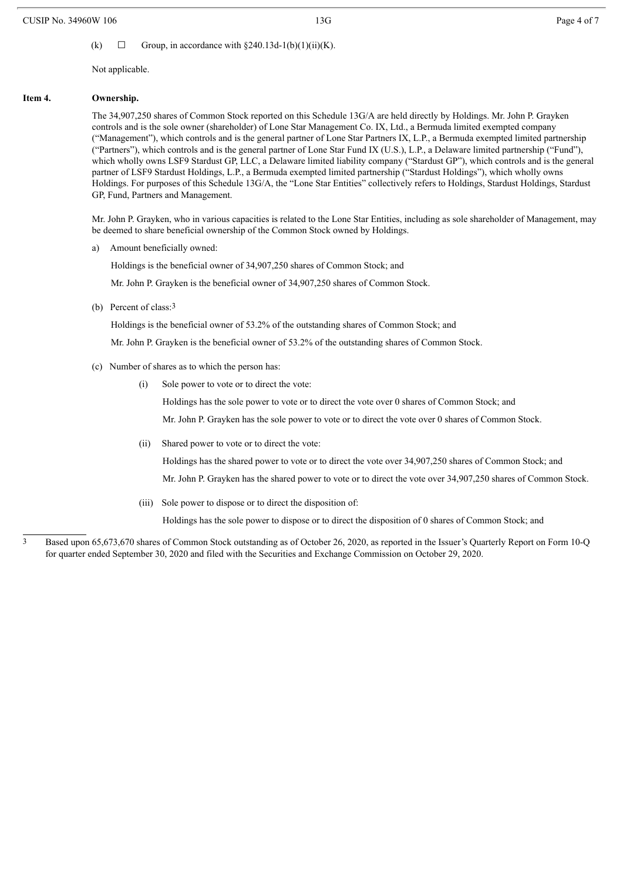(k)  $\Box$  Group, in accordance with §240.13d-1(b)(1)(ii)(K).

Not applicable.

#### **Item 4. Ownership.**

The 34,907,250 shares of Common Stock reported on this Schedule 13G/A are held directly by Holdings. Mr. John P. Grayken controls and is the sole owner (shareholder) of Lone Star Management Co. IX, Ltd., a Bermuda limited exempted company ("Management"), which controls and is the general partner of Lone Star Partners IX, L.P., a Bermuda exempted limited partnership ("Partners"), which controls and is the general partner of Lone Star Fund IX (U.S.), L.P., a Delaware limited partnership ("Fund"), which wholly owns LSF9 Stardust GP, LLC, a Delaware limited liability company ("Stardust GP"), which controls and is the general partner of LSF9 Stardust Holdings, L.P., a Bermuda exempted limited partnership ("Stardust Holdings"), which wholly owns Holdings. For purposes of this Schedule 13G/A, the "Lone Star Entities" collectively refers to Holdings, Stardust Holdings, Stardust GP, Fund, Partners and Management.

Mr. John P. Grayken, who in various capacities is related to the Lone Star Entities, including as sole shareholder of Management, may be deemed to share beneficial ownership of the Common Stock owned by Holdings.

a) Amount beneficially owned:

Holdings is the beneficial owner of 34,907,250 shares of Common Stock; and

Mr. John P. Grayken is the beneficial owner of 34,907,250 shares of Common Stock.

(b) Percent of class:3

Holdings is the beneficial owner of 53.2% of the outstanding shares of Common Stock; and

Mr. John P. Grayken is the beneficial owner of 53.2% of the outstanding shares of Common Stock.

- (c) Number of shares as to which the person has:
	- (i) Sole power to vote or to direct the vote:

Holdings has the sole power to vote or to direct the vote over 0 shares of Common Stock; and

Mr. John P. Grayken has the sole power to vote or to direct the vote over 0 shares of Common Stock.

(ii) Shared power to vote or to direct the vote:

Holdings has the shared power to vote or to direct the vote over 34,907,250 shares of Common Stock; and Mr. John P. Grayken has the shared power to vote or to direct the vote over 34,907,250 shares of Common Stock.

(iii) Sole power to dispose or to direct the disposition of:

Holdings has the sole power to dispose or to direct the disposition of 0 shares of Common Stock; and

3 Based upon 65,673,670 shares of Common Stock outstanding as of October 26, 2020, as reported in the Issuer's Quarterly Report on Form 10-Q for quarter ended September 30, 2020 and filed with the Securities and Exchange Commission on October 29, 2020.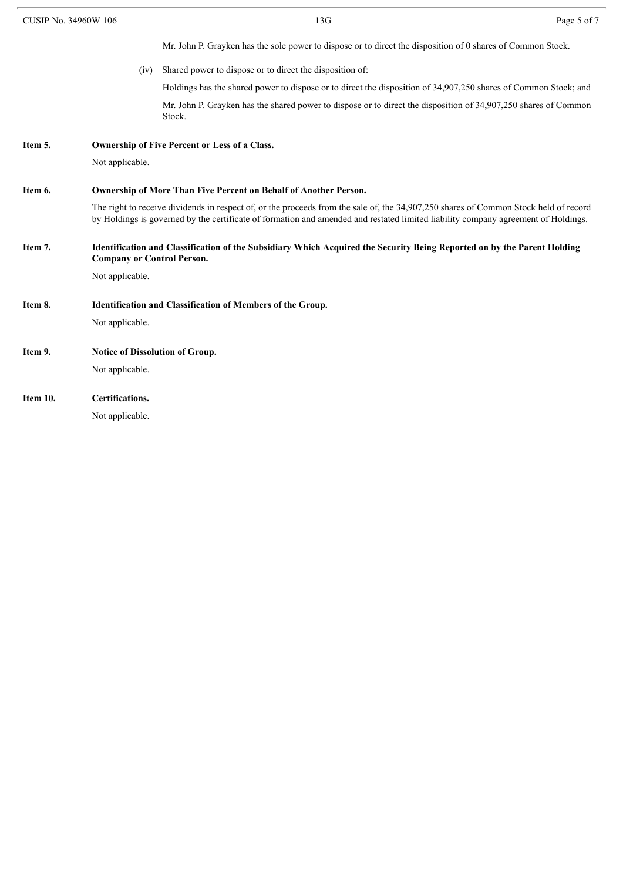| CUSIP No. 34960W 106 |                                        | 13G                                                                                                                                                                                                                                                                       | Page 5 of 7 |  |
|----------------------|----------------------------------------|---------------------------------------------------------------------------------------------------------------------------------------------------------------------------------------------------------------------------------------------------------------------------|-------------|--|
|                      |                                        | Mr. John P. Grayken has the sole power to dispose or to direct the disposition of 0 shares of Common Stock.                                                                                                                                                               |             |  |
|                      | (iv)                                   | Shared power to dispose or to direct the disposition of:                                                                                                                                                                                                                  |             |  |
|                      |                                        | Holdings has the shared power to dispose or to direct the disposition of 34,907,250 shares of Common Stock; and                                                                                                                                                           |             |  |
|                      |                                        | Mr. John P. Grayken has the shared power to dispose or to direct the disposition of 34,907,250 shares of Common<br>Stock.                                                                                                                                                 |             |  |
| Item 5.              |                                        | <b>Ownership of Five Percent or Less of a Class.</b>                                                                                                                                                                                                                      |             |  |
|                      | Not applicable.                        |                                                                                                                                                                                                                                                                           |             |  |
| Item 6.              |                                        | Ownership of More Than Five Percent on Behalf of Another Person.                                                                                                                                                                                                          |             |  |
|                      |                                        | The right to receive dividends in respect of, or the proceeds from the sale of, the 34,907,250 shares of Common Stock held of record<br>by Holdings is governed by the certificate of formation and amended and restated limited liability company agreement of Holdings. |             |  |
| Item 7.              | <b>Company or Control Person.</b>      | Identification and Classification of the Subsidiary Which Acquired the Security Being Reported on by the Parent Holding                                                                                                                                                   |             |  |
|                      | Not applicable.                        |                                                                                                                                                                                                                                                                           |             |  |
| Item 8.              |                                        | Identification and Classification of Members of the Group.                                                                                                                                                                                                                |             |  |
|                      | Not applicable.                        |                                                                                                                                                                                                                                                                           |             |  |
| Item 9.              | <b>Notice of Dissolution of Group.</b> |                                                                                                                                                                                                                                                                           |             |  |
|                      | Not applicable.                        |                                                                                                                                                                                                                                                                           |             |  |
| Item 10.             | Certifications.                        |                                                                                                                                                                                                                                                                           |             |  |
|                      | Not applicable.                        |                                                                                                                                                                                                                                                                           |             |  |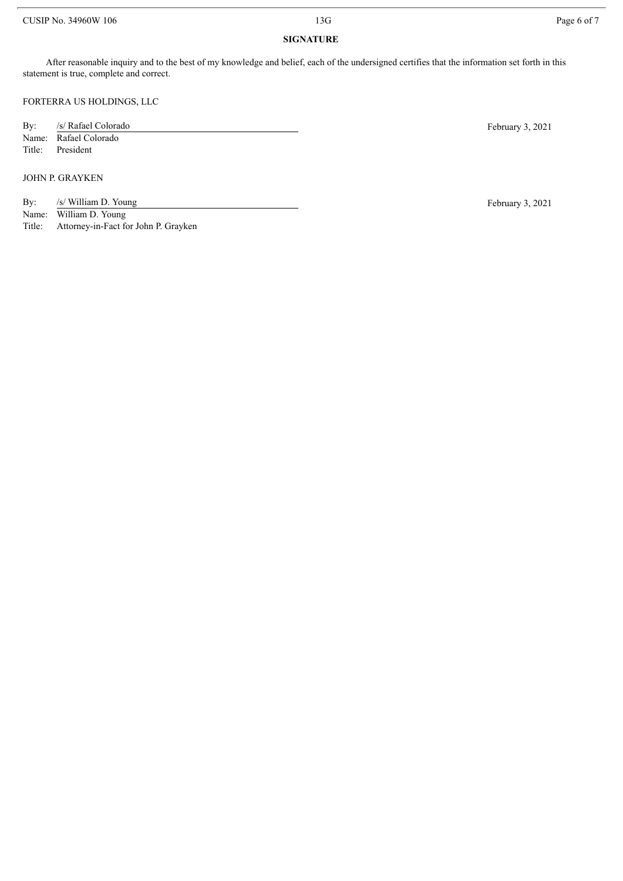#### CUSIP No. 34960W 106 Page 6 of 7

### **SIGNATURE**

After reasonable inquiry and to the best of my knowledge and belief, each of the undersigned certifies that the information set forth in this statement is true, complete and correct.

FORTERRA US HOLDINGS, LLC

By: /s/ Rafael Colorado February 3, 2021 Name: Rafael Colorado Title: President

#### JOHN P. GRAYKEN

- By: /s/ William D. Young February 3, 2021
- Name: William D. Young

Title: Attorney-in-Fact for John P. Grayken